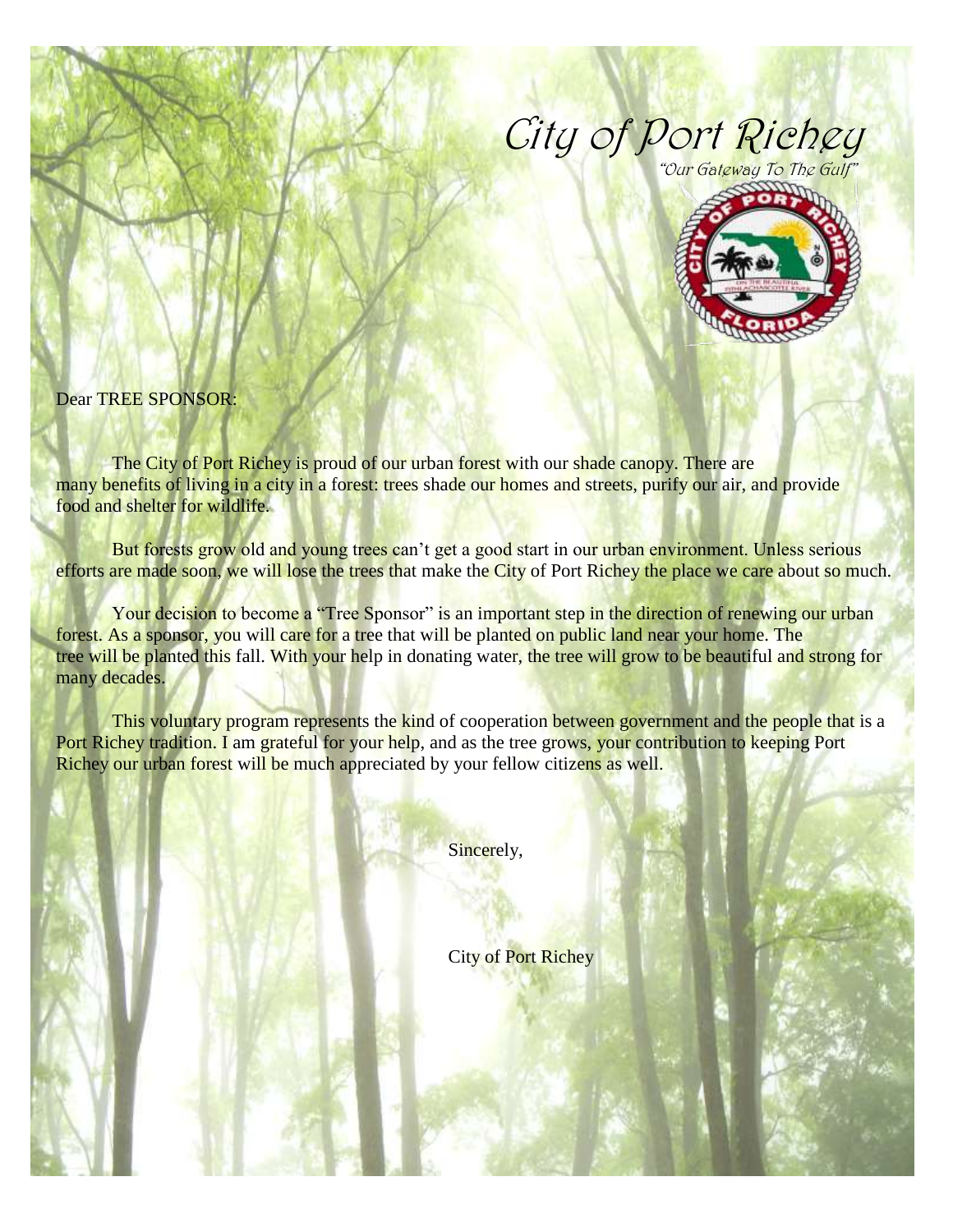## City of Port Richey "Our Gateway To The Gulf"



Dear TREE SPONSOR:

The City of Port Richey is proud of our urban forest with our shade canopy. There are many benefits of living in a city in a forest: trees shade our homes and streets, purify our air, and provide food and shelter for wildlife.

But forests grow old and young trees can't get a good start in our urban environment. Unless serious efforts are made soon, we will lose the trees that make the City of Port Richey the place we care about so much.

Your decision to become a "Tree Sponsor" is an important step in the direction of renewing our urban forest. As a sponsor, you will care for a tree that will be planted on public land near your home. The tree will be planted this fall. With your help in donating water, the tree will grow to be beautiful and strong for many decades.

This voluntary program represents the kind of cooperation between government and the people that is a Port Richey tradition. I am grateful for your help, and as the tree grows, your contribution to keeping Port Richey our urban forest will be much appreciated by your fellow citizens as well.

Sincerely,

City of Port Richey